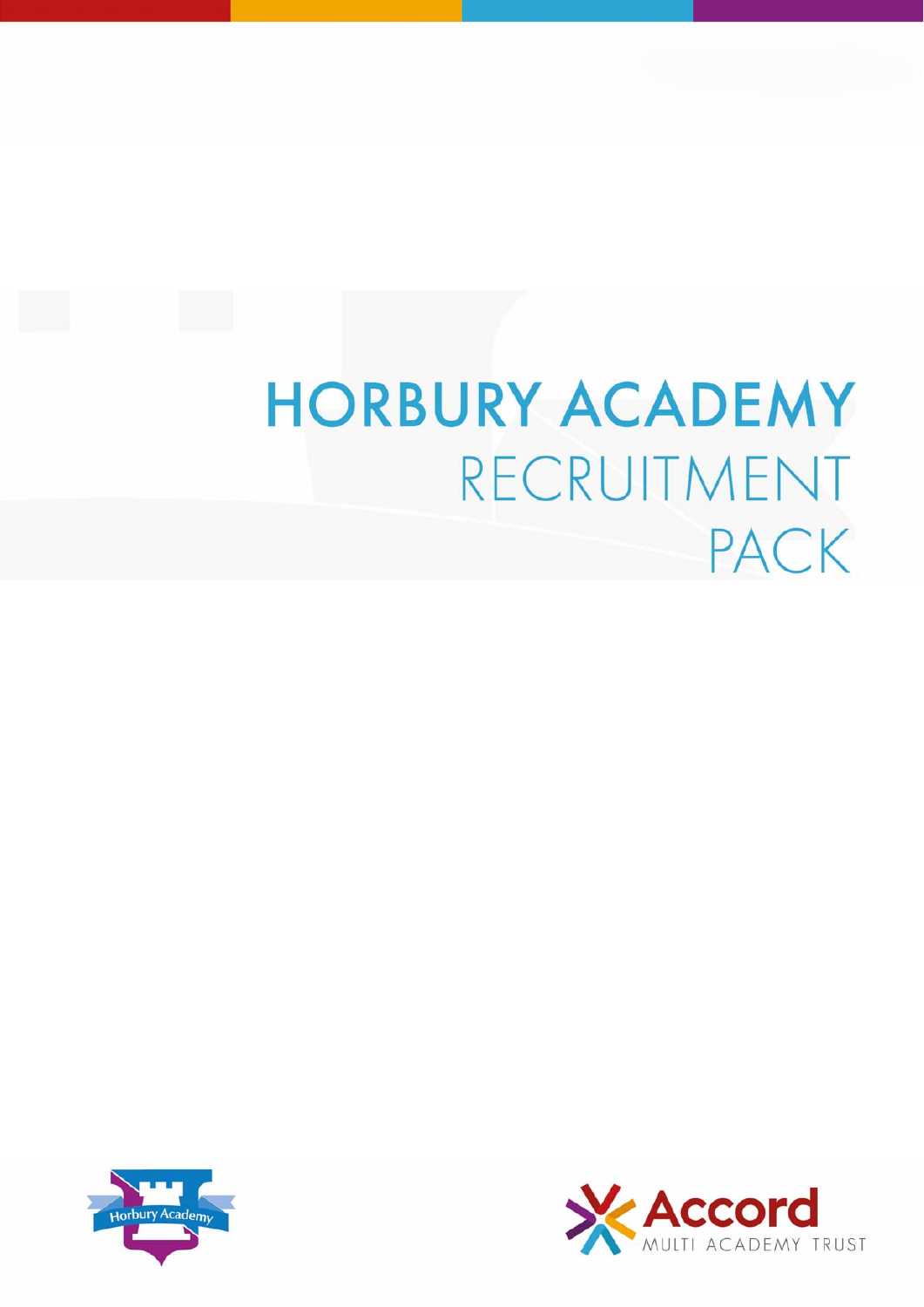# **HORBURY ACADEMY** RECRUITMENT **PACK**



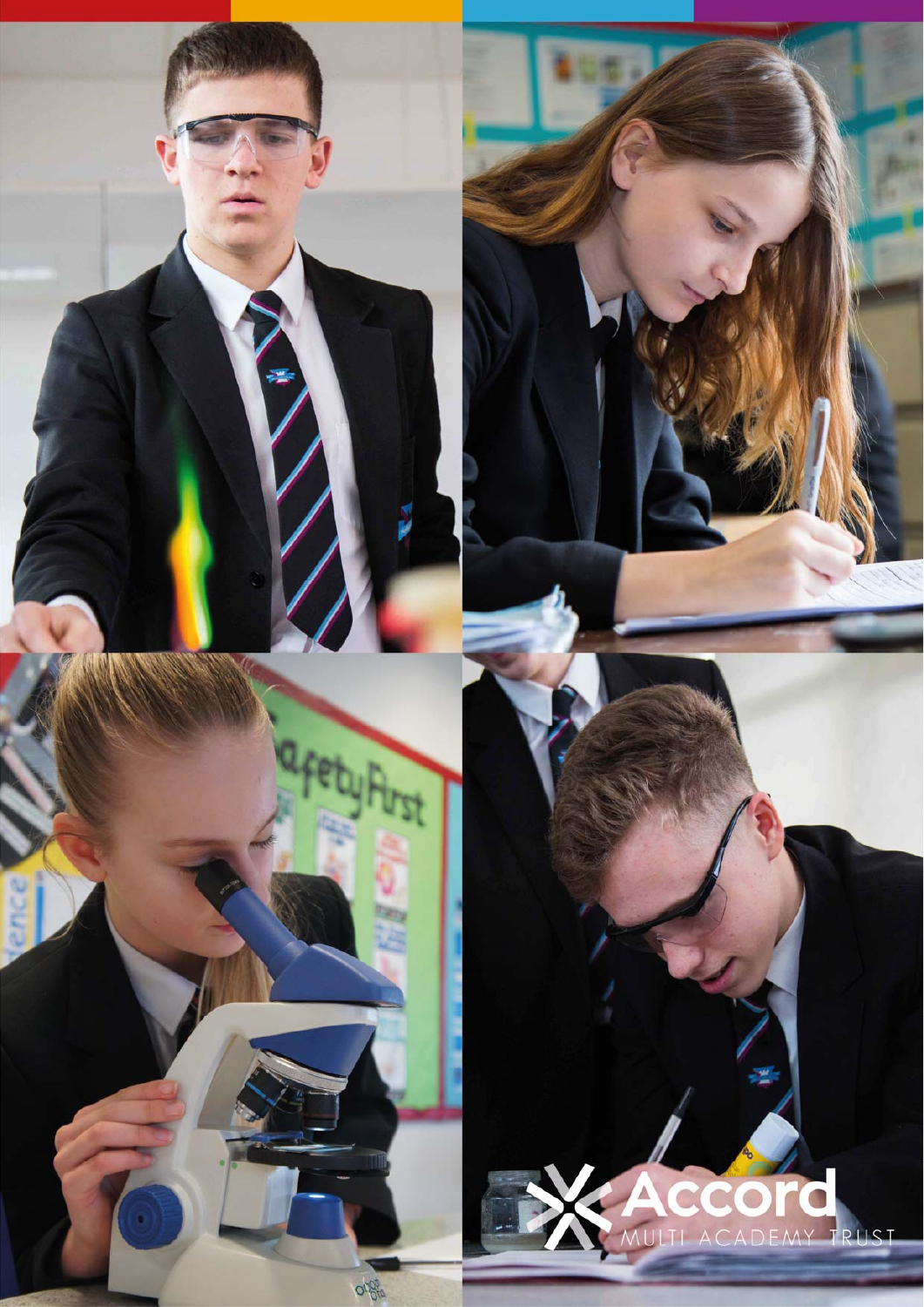

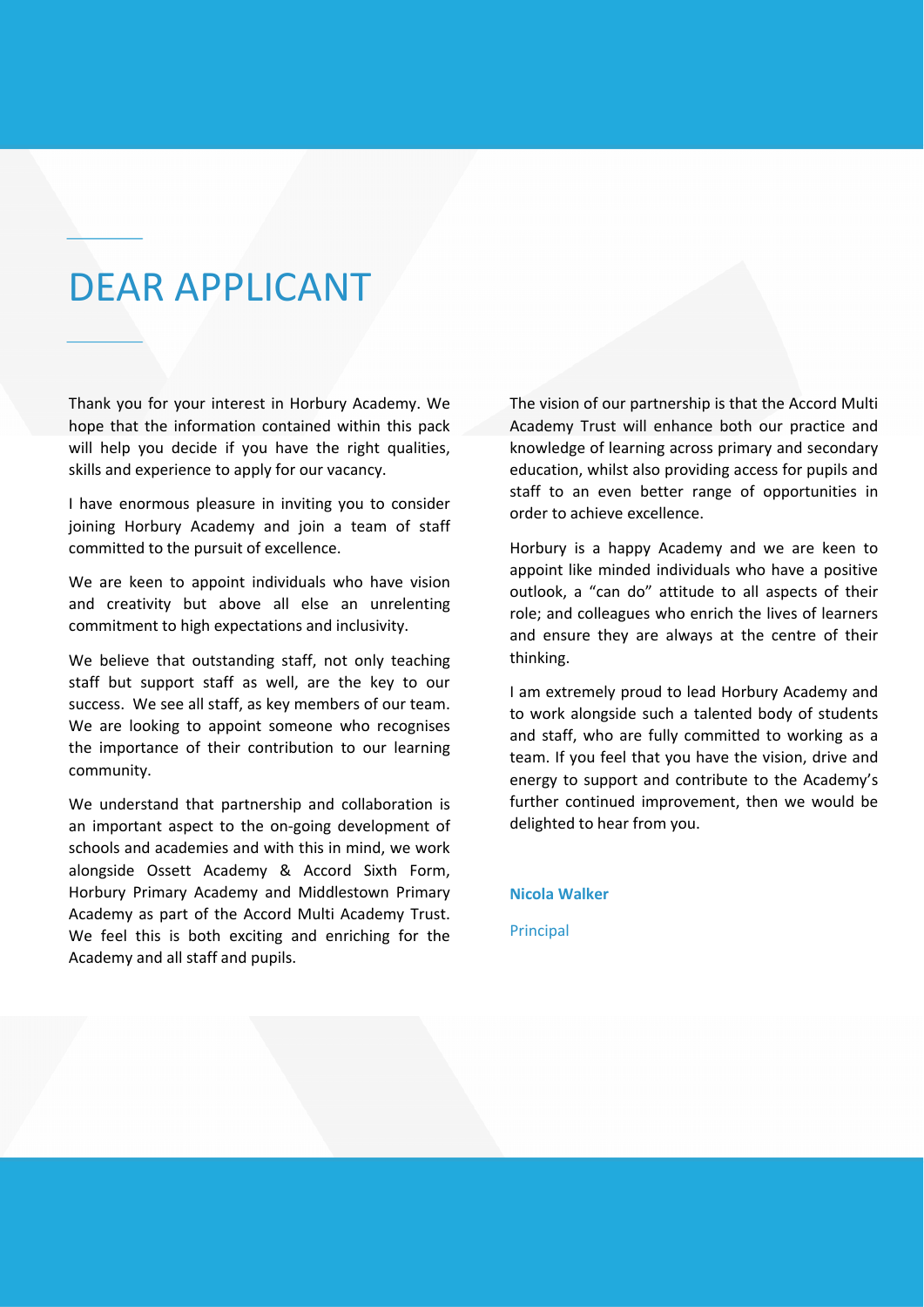### DEAR APPLICANT

Thank you for your interest in Horbury Academy. We hope that the information contained within this pack will help you decide if you have the right qualities, skills and experience to apply for our vacancy.

I have enormous pleasure in inviting you to consider joining Horbury Academy and join a team of staff committed to the pursuit of excellence.

We are keen to appoint individuals who have vision and creativity but above all else an unrelenting commitment to high expectations and inclusivity.

We believe that outstanding staff, not only teaching staff but support staff as well, are the key to our success. We see all staff, as key members of our team. We are looking to appoint someone who recognises the importance of their contribution to our learning community.

We understand that partnership and collaboration is an important aspect to the on‐going development of schools and academies and with this in mind, we work alongside Ossett Academy & Accord Sixth Form, Horbury Primary Academy and Middlestown Primary Academy as part of the Accord Multi Academy Trust. We feel this is both exciting and enriching for the Academy and all staff and pupils.

The vision of our partnership is that the Accord Multi Academy Trust will enhance both our practice and knowledge of learning across primary and secondary education, whilst also providing access for pupils and staff to an even better range of opportunities in order to achieve excellence.

Horbury is a happy Academy and we are keen to appoint like minded individuals who have a positive outlook, a "can do" attitude to all aspects of their role; and colleagues who enrich the lives of learners and ensure they are always at the centre of their thinking.

I am extremely proud to lead Horbury Academy and to work alongside such a talented body of students and staff, who are fully committed to working as a team. If you feel that you have the vision, drive and energy to support and contribute to the Academy's further continued improvement, then we would be delighted to hear from you.

**Nicola Walker**

Principal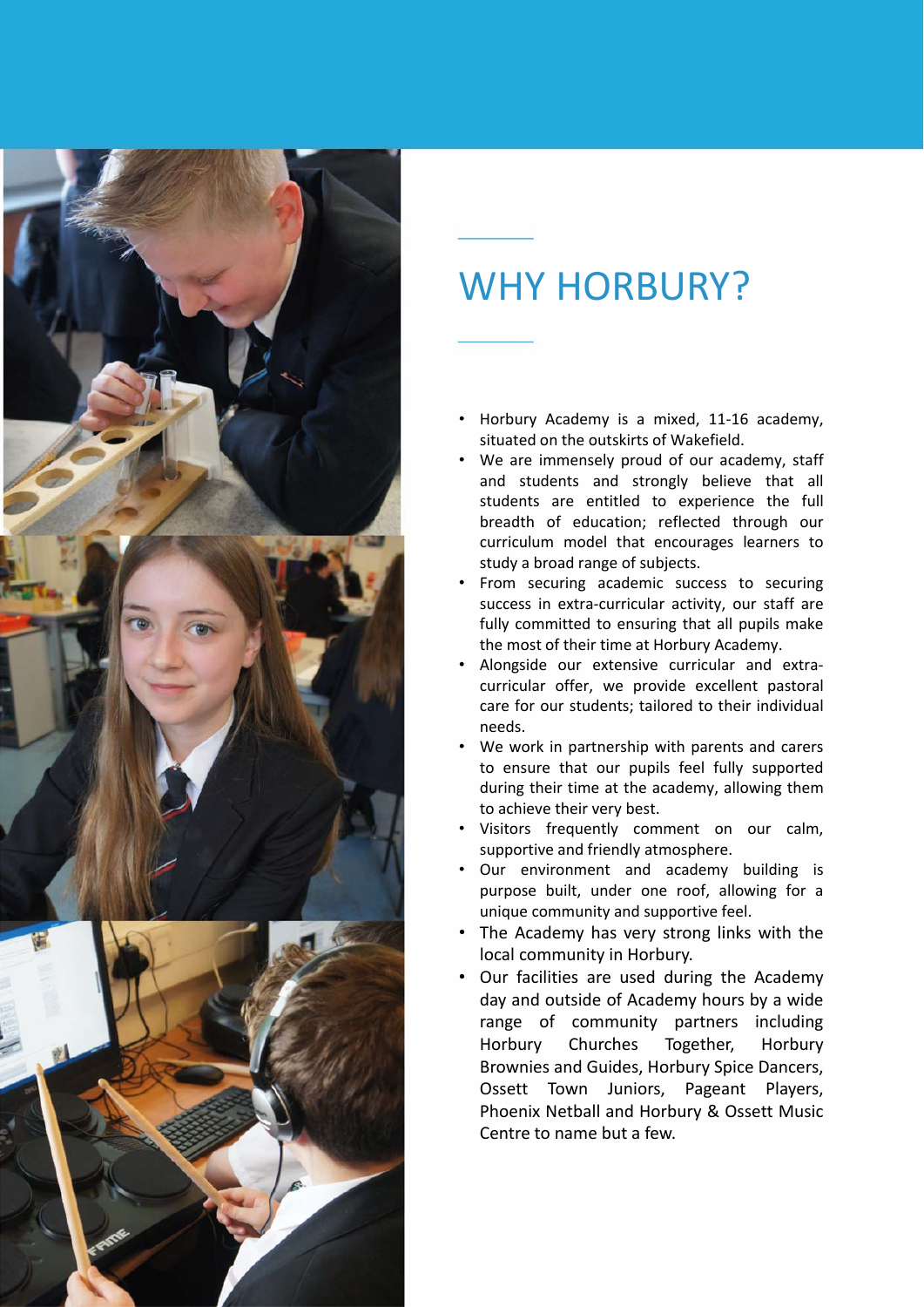

# WHY HORBURY?

- Horbury Academy is a mixed, 11‐16 academy, situated on the outskirts of Wakefield.
- We are immensely proud of our academy, staff and students and strongly believe that all students are entitled to experience the full breadth of education; reflected through our curriculum model that encourages learners to study a broad range of subjects.
- From securing academic success to securing success in extra-curricular activity, our staff are fully committed to ensuring that all pupils make the most of their time at Horbury Academy.
- Alongside our extensive curricular and extra‐ curricular offer, we provide excellent pastoral care for our students; tailored to their individual needs.
- We work in partnership with parents and carers to ensure that our pupils feel fully supported during their time at the academy, allowing them to achieve their very best.
- Visitors frequently comment on our calm, supportive and friendly atmosphere.
- Our environment and academy building is purpose built, under one roof, allowing for a unique community and supportive feel.
- The Academy has very strong links with the local community in Horbury.
- Our facilities are used during the Academy day and outside of Academy hours by a wide range of community partners including Horbury Churches Together, Horbury Brownies and Guides, Horbury Spice Dancers, Ossett Town Juniors, Pageant Players, Phoenix Netball and Horbury & Ossett Music Centre to name but a few.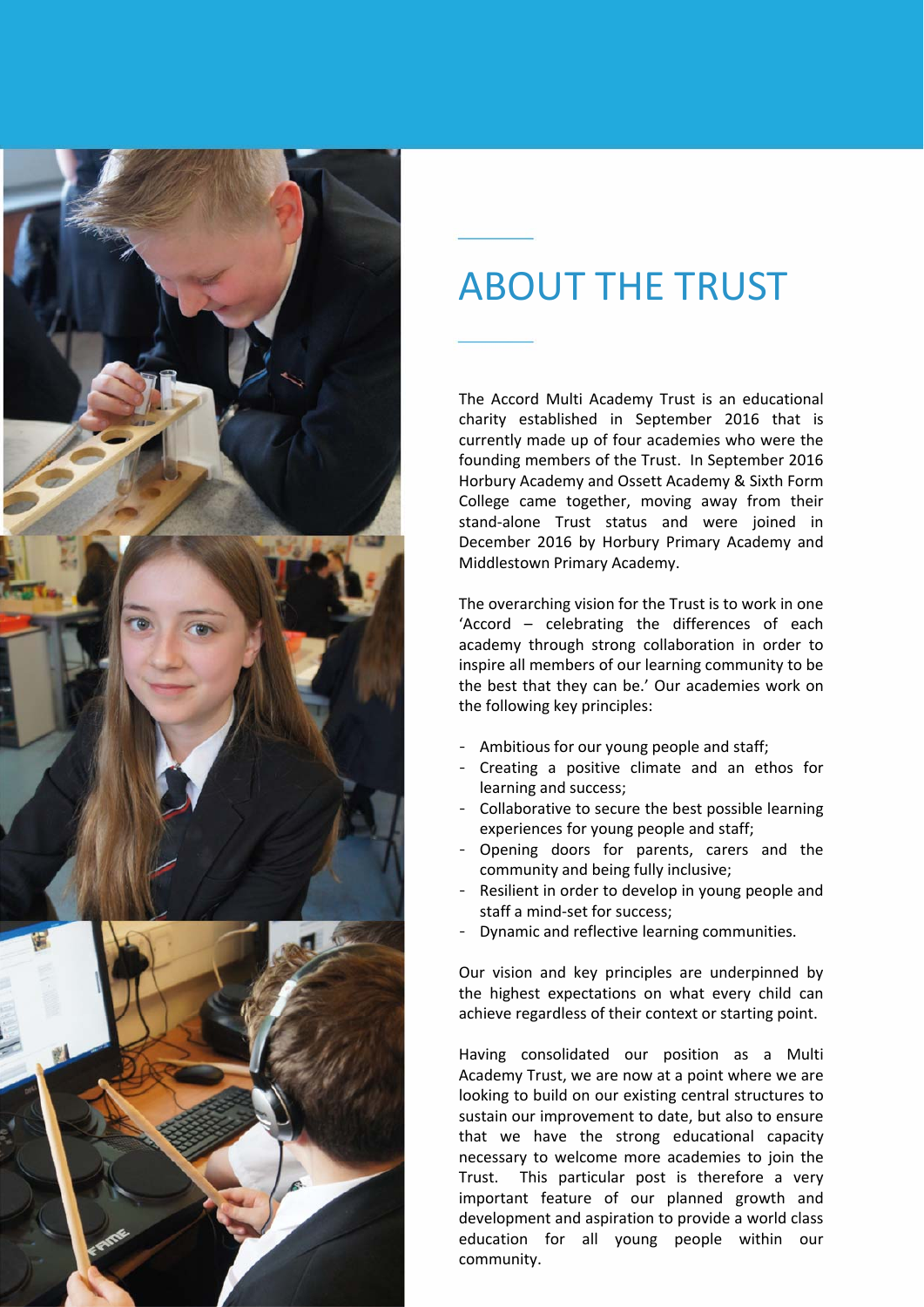

# ABOUT THE TRUST

The Accord Multi Academy Trust is an educational charity established in September 2016 that is currently made up of four academies who were the founding members of the Trust. In September 2016 Horbury Academy and Ossett Academy & Sixth Form College came together, moving away from their stand‐alone Trust status and were joined in December 2016 by Horbury Primary Academy and Middlestown Primary Academy.

The overarching vision for the Trust is to work in one 'Accord – celebrating the differences of each academy through strong collaboration in order to inspire all members of our learning community to be the best that they can be.' Our academies work on the following key principles:

- Ambitious for our young people and staff;
- Creating a positive climate and an ethos for learning and success;
- Collaborative to secure the best possible learning experiences for young people and staff;
- Opening doors for parents, carers and the community and being fully inclusive;
- Resilient in order to develop in young people and staff a mind‐set for success;
- Dynamic and reflective learning communities.

Our vision and key principles are underpinned by the highest expectations on what every child can achieve regardless of their context or starting point.

Having consolidated our position as a Multi Academy Trust, we are now at a point where we are looking to build on our existing central structures to sustain our improvement to date, but also to ensure that we have the strong educational capacity necessary to welcome more academies to join the Trust. This particular post is therefore a very important feature of our planned growth and development and aspiration to provide a world class education for all young people within our community.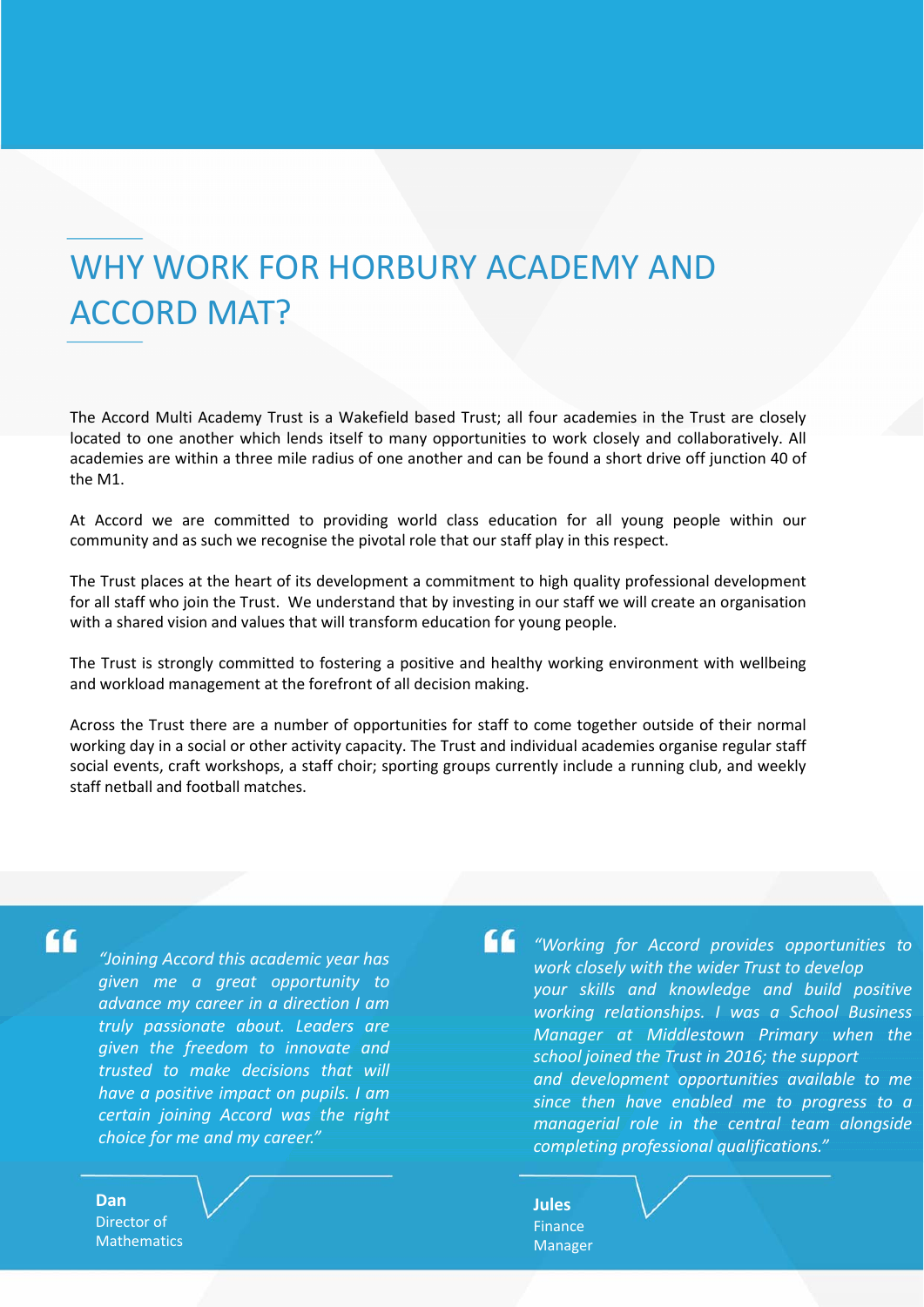## WHY WORK FOR HORBURY ACADEMY AND ACCORD MAT?

The Accord Multi Academy Trust is a Wakefield based Trust; all four academies in the Trust are closely located to one another which lends itself to many opportunities to work closely and collaboratively. All academies are within a three mile radius of one another and can be found a short drive off junction 40 of the M1.

At Accord we are committed to providing world class education for all young people within our community and as such we recognise the pivotal role that our staff play in this respect.

The Trust places at the heart of its development a commitment to high quality professional development for all staff who join the Trust. We understand that by investing in our staff we will create an organisation with a shared vision and values that will transform education for young people.

The Trust is strongly committed to fostering a positive and healthy working environment with wellbeing and workload management at the forefront of all decision making.

Across the Trust there are a number of opportunities for staff to come together outside of their normal working day in a social or other activity capacity. The Trust and individual academies organise regular staff social events, craft workshops, a staff choir; sporting groups currently include a running club, and weekly staff netball and football matches.

"

*"Joining Accord this academic year has given me a great opportunity to advance my career in a direction I am truly passionate about. Leaders are given the freedom to innovate and trusted to make decisions that will have a positive impact on pupils. I am certain joining Accord was the right choice for me and my career."*

**Dan** Director of **Mathematics**  *"Working for Accord provides opportunities to work closely with the wider Trust to develop your skills and knowledge and build positive working relationships. I was a School Business Manager at Middlestown Primary when the school joined the Trust in 2016; the support and development opportunities available to me since then have enabled me to progress to a managerial role in the central team alongside completing professional qualifications."*

> **Jules** Finance Manager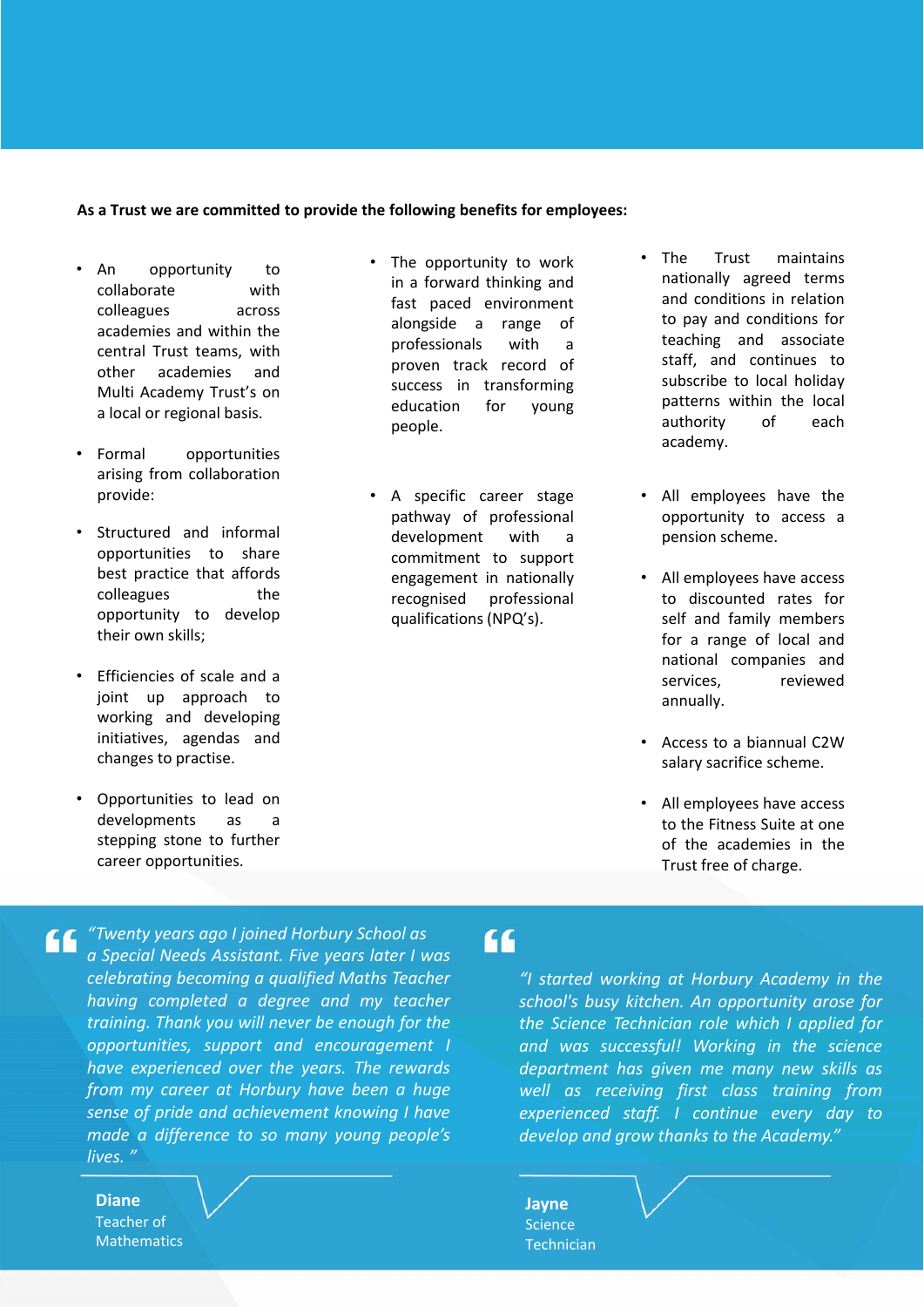#### **As a Trust we are committed to provide the following benefits for employees:**

- An opportunity to collaborate with colleagues across academies and within the central Trust teams, with other academies and Multi Academy Trust's on a local or regional basis.
- Formal opportunities arising from collaboration provide:
- Structured and informal opportunities to share best practice that affords colleagues the opportunity to develop their own skills;
- Efficiencies of scale and a joint up approach to working and developing initiatives, agendas and changes to practise.
- Opportunities to lead on developments as a stepping stone to further career opportunities.
- The opportunity to work in a forward thinking and fast paced environment alongside a range of professionals with a proven track record of success in transforming education for young people.
- A specific career stage pathway of professional development with a commitment to support engagement in nationally recognised professional qualifications (NPQ's).
- The Trust maintains nationally agreed terms and conditions in relation to pay and conditions for teaching and associate staff, and continues to subscribe to local holiday patterns within the local authority of each academy.
- All employees have the opportunity to access a pension scheme.
- All employees have access to discounted rates for self and family members for a range of local and national companies and services. reviewed annually.
- Access to a biannual C2W salary sacrifice scheme.
- All employees have access to the Fitness Suite at one of the academies in the Trust free of charge.

*"Twenty years ago I joined Horbury School as a Special Needs Assistant. Five years later I was celebrating becoming a qualified Maths Teacher having completed a degree and my teacher training. Thank you will never be enough for the opportunities, support and encouragement I have experienced over the years. The rewards from my career at Horbury have been a huge sense of pride and achievement knowing I have made a difference to so many young people's lives. "*

> **Diane** Teacher of **Mathematics**

### "

*"I started working at Horbury Academy in the school's busy kitchen. An opportunity arose for the Science Technician role which I applied for and was successful! Working in the science department has given me many new skills as well as receiving first class training from experienced staff. I continue every day to develop and grow thanks to the Academy."*

**Jayne** Science **Technician**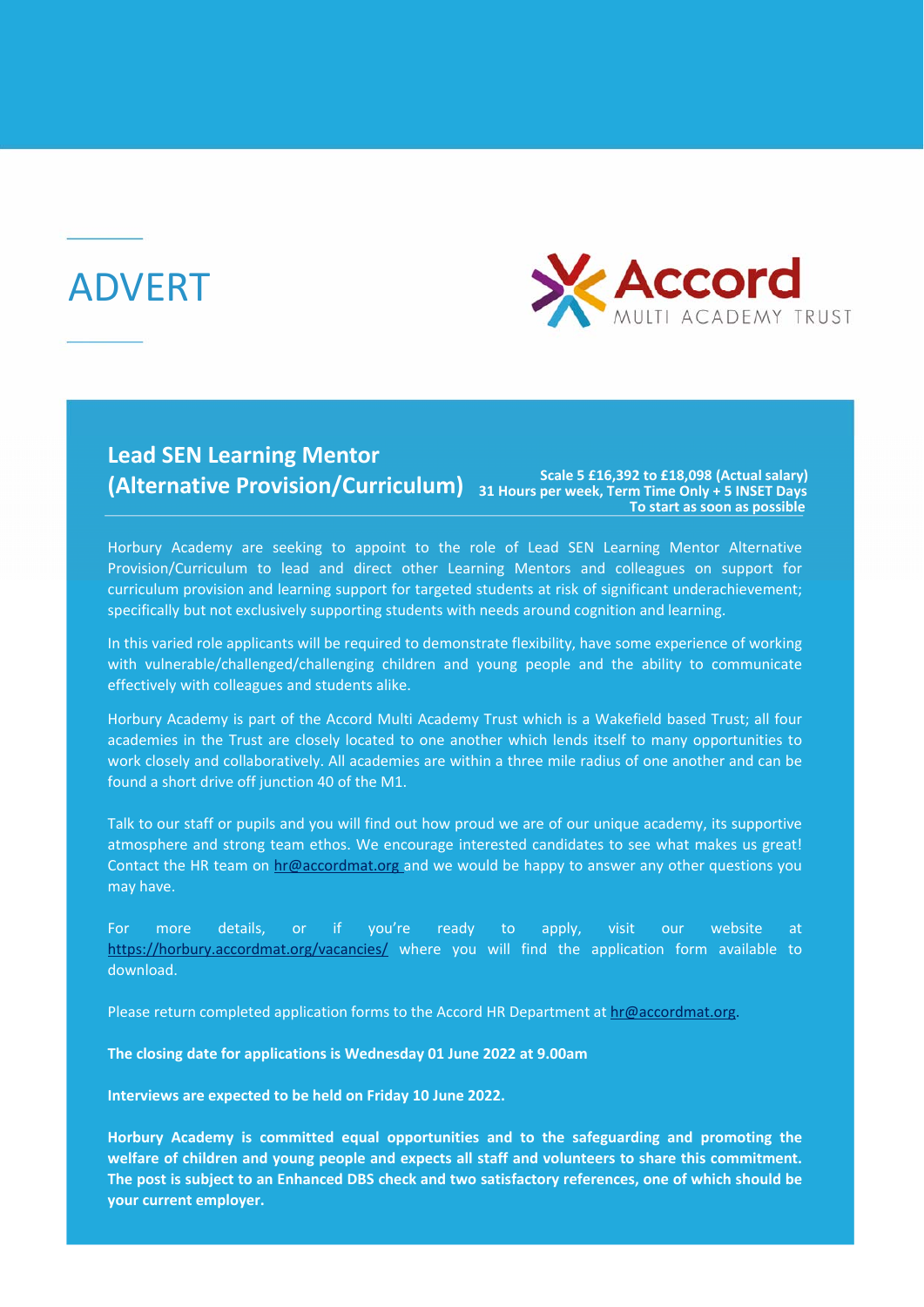### ADVERT



### **(Alternative Provision/Curriculum) Scale 5 £16,392 to £18,098 (Actual salary) (Alternative Provision/Curriculum) 31 Hours per week, Term Time Only + 5 INSET Days Lead SEN Learning Mentor To start as soon as possible**

Horbury Academy are seeking to appoint to the role of Lead SEN Learning Mentor Alternative Provision/Curriculum to lead and direct other Learning Mentors and colleagues on support for curriculum provision and learning support for targeted students at risk of significant underachievement; specifically but not exclusively supporting students with needs around cognition and learning.

In this varied role applicants will be required to demonstrate flexibility, have some experience of working with vulnerable/challenged/challenging children and young people and the ability to communicate effectively with colleagues and students alike.

Horbury Academy is part of the Accord Multi Academy Trust which is a Wakefield based Trust; all four academies in the Trust are closely located to one another which lends itself to many opportunities to work closely and collaboratively. All academies are within a three mile radius of one another and can be found a short drive off junction 40 of the M1.

Talk to our staff or pupils and you will find out how proud we are of our unique academy, its supportive atmosphere and strong team ethos. We encourage interested candidates to see what makes us great! Contact the HR team on hr@accordmat.org and we would be happy to answer any other questions you may have.

For more details, or if you're ready to apply, visit our website at https://horbury.accordmat.org/vacancies/ where you will find the application form available to download.

Please return completed application forms to the Accord HR Department at hr@accordmat.org.

**The closing date for applications is Wednesday 01 June 2022 at 9.00am**

**Interviews are expected to be held on Friday 10 June 2022.**

**Horbury Academy is committed equal opportunities and to the safeguarding and promoting the welfare of children and young people and expects all staff and volunteers to share this commitment. The post is subject to an Enhanced DBS check and two satisfactory references, one of which should be your current employer.**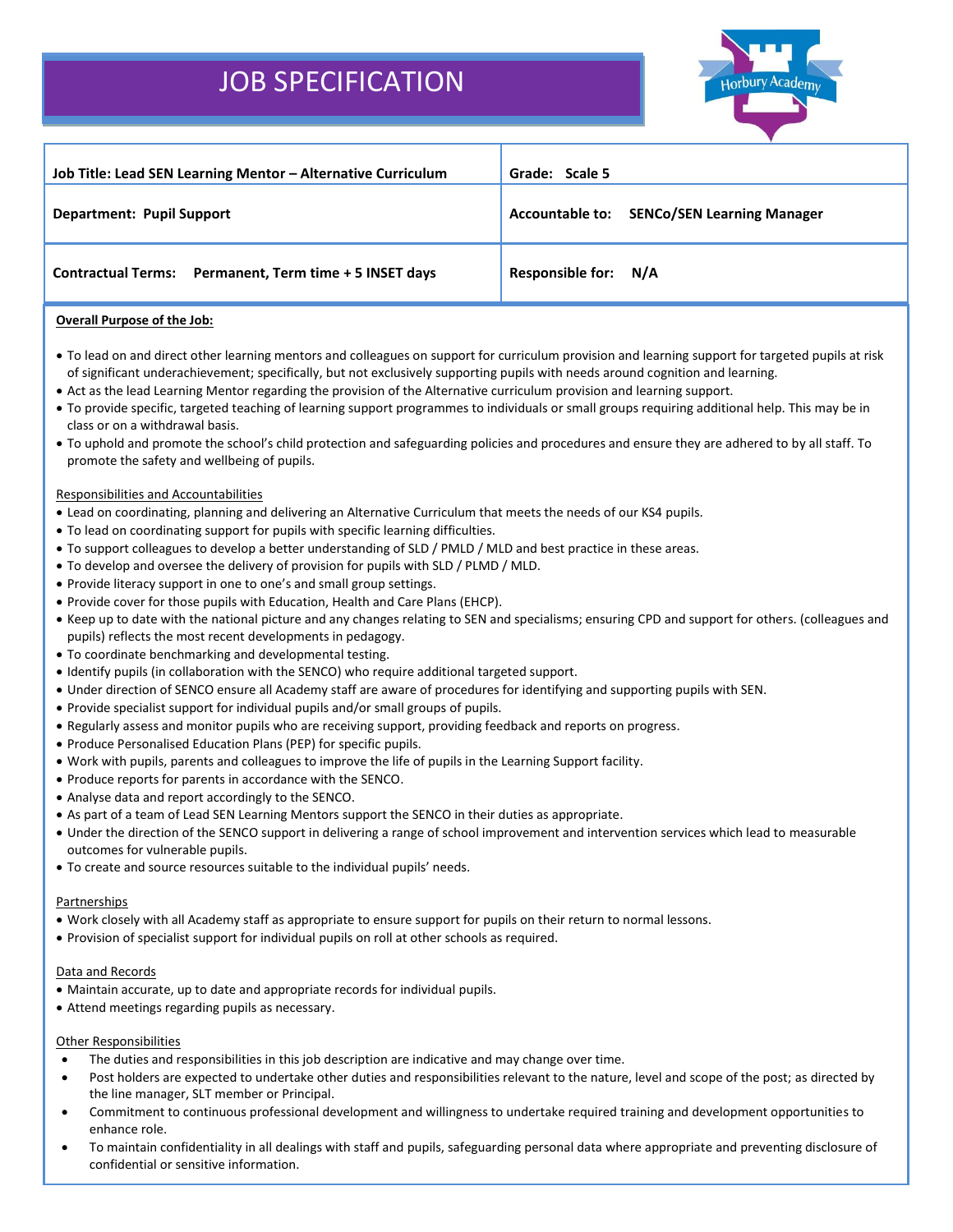### JOB SPECIFICATION



| Job Title: Lead SEN Learning Mentor - Alternative Curriculum | Grade: Scale 5                             |
|--------------------------------------------------------------|--------------------------------------------|
| Department: Pupil Support                                    | Accountable to: SENCo/SEN Learning Manager |
| Contractual Terms: Permanent, Term time + 5 INSET days       | Responsible for: N/A                       |

#### **Overall Purpose of the Job:**

- To lead on and direct other learning mentors and colleagues on support for curriculum provision and learning support for targeted pupils at risk of significant underachievement; specifically, but not exclusively supporting pupils with needs around cognition and learning.
- Act as the lead Learning Mentor regarding the provision of the Alternative curriculum provision and learning support.
- To provide specific, targeted teaching of learning support programmes to individuals or small groups requiring additional help. This may be in class or on a withdrawal basis.
- To uphold and promote the school's child protection and safeguarding policies and procedures and ensure they are adhered to by all staff. To promote the safety and wellbeing of pupils.

#### Responsibilities and Accountabilities

- Lead on coordinating, planning and delivering an Alternative Curriculum that meets the needs of our KS4 pupils.
- To lead on coordinating support for pupils with specific learning difficulties.
- To support colleagues to develop a better understanding of SLD / PMLD / MLD and best practice in these areas.
- To develop and oversee the delivery of provision for pupils with SLD / PLMD / MLD.
- Provide literacy support in one to one's and small group settings.
- Provide cover for those pupils with Education, Health and Care Plans (EHCP).
- Keep up to date with the national picture and any changes relating to SEN and specialisms; ensuring CPD and support for others. (colleagues and pupils) reflects the most recent developments in pedagogy.
- To coordinate benchmarking and developmental testing.
- Identify pupils (in collaboration with the SENCO) who require additional targeted support.
- Under direction of SENCO ensure all Academy staff are aware of procedures for identifying and supporting pupils with SEN.
- Provide specialist support for individual pupils and/or small groups of pupils.
- Regularly assess and monitor pupils who are receiving support, providing feedback and reports on progress.
- Produce Personalised Education Plans (PEP) for specific pupils.
- Work with pupils, parents and colleagues to improve the life of pupils in the Learning Support facility.
- Produce reports for parents in accordance with the SENCO.
- Analyse data and report accordingly to the SENCO.
- As part of a team of Lead SEN Learning Mentors support the SENCO in their duties as appropriate.
- Under the direction of the SENCO support in delivering a range of school improvement and intervention services which lead to measurable outcomes for vulnerable pupils.
- To create and source resources suitable to the individual pupils' needs.

#### Partnerships

- Work closely with all Academy staff as appropriate to ensure support for pupils on their return to normal lessons.
- Provision of specialist support for individual pupils on roll at other schools as required.

#### Data and Records

- Maintain accurate, up to date and appropriate records for individual pupils.
- Attend meetings regarding pupils as necessary.

#### Other Responsibilities

- The duties and responsibilities in this job description are indicative and may change over time.
- Post holders are expected to undertake other duties and responsibilities relevant to the nature, level and scope of the post; as directed by the line manager, SLT member or Principal.
- Commitment to continuous professional development and willingness to undertake required training and development opportunities to enhance role.
- To maintain confidentiality in all dealings with staff and pupils, safeguarding personal data where appropriate and preventing disclosure of confidential or sensitive information.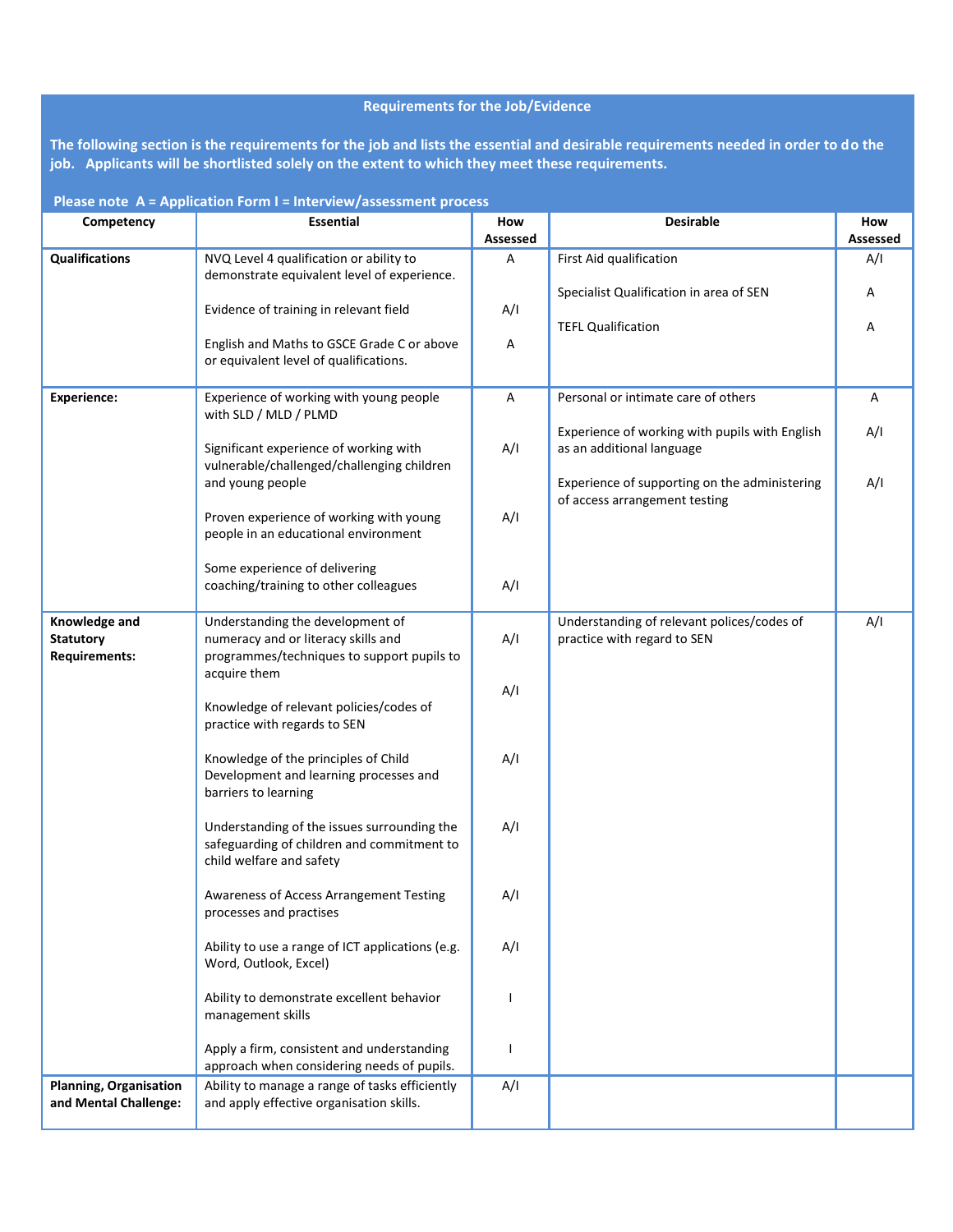#### **Requirements for the Job/Evidence**

**The following section is the requirements for the job and lists the essential and desirable requirements needed in order to do the job. Applicants will be shortlisted solely on the extent to which they meet these requirements.** 

| Please note A = Application Form I = Interview/assessment process |                                                                                                                       |                 |                                                                                |                 |
|-------------------------------------------------------------------|-----------------------------------------------------------------------------------------------------------------------|-----------------|--------------------------------------------------------------------------------|-----------------|
| Competency                                                        | <b>Essential</b>                                                                                                      | How<br>Assessed | <b>Desirable</b>                                                               | How<br>Assessed |
| <b>Qualifications</b>                                             | NVQ Level 4 qualification or ability to<br>demonstrate equivalent level of experience.                                | Α               | First Aid qualification                                                        | A/I             |
|                                                                   | Evidence of training in relevant field                                                                                | A/I             | Specialist Qualification in area of SEN<br><b>TEFL Qualification</b>           | Α<br>Α          |
|                                                                   | English and Maths to GSCE Grade C or above<br>or equivalent level of qualifications.                                  | Α               |                                                                                |                 |
| <b>Experience:</b>                                                | Experience of working with young people<br>with SLD / MLD / PLMD                                                      | Α               | Personal or intimate care of others                                            | Α               |
|                                                                   | Significant experience of working with<br>vulnerable/challenged/challenging children                                  | A/I             | Experience of working with pupils with English<br>as an additional language    | A/I             |
|                                                                   | and young people                                                                                                      |                 | Experience of supporting on the administering<br>of access arrangement testing | A/I             |
|                                                                   | Proven experience of working with young<br>people in an educational environment                                       | A/I             |                                                                                |                 |
|                                                                   | Some experience of delivering<br>coaching/training to other colleagues                                                | A/I             |                                                                                |                 |
| Knowledge and<br><b>Statutory</b><br><b>Requirements:</b>         | Understanding the development of<br>numeracy and or literacy skills and<br>programmes/techniques to support pupils to | A/I             | Understanding of relevant polices/codes of<br>practice with regard to SEN      | A/I             |
|                                                                   | acquire them                                                                                                          | A/I             |                                                                                |                 |
|                                                                   | Knowledge of relevant policies/codes of<br>practice with regards to SEN                                               |                 |                                                                                |                 |
|                                                                   | Knowledge of the principles of Child<br>Development and learning processes and<br>barriers to learning                | A/I             |                                                                                |                 |
|                                                                   | Understanding of the issues surrounding the<br>safeguarding of children and commitment to<br>child welfare and safety | A/I             |                                                                                |                 |
|                                                                   | Awareness of Access Arrangement Testing<br>processes and practises                                                    | A/I             |                                                                                |                 |
|                                                                   | Ability to use a range of ICT applications (e.g.<br>Word, Outlook, Excel)                                             | A/I             |                                                                                |                 |
|                                                                   | Ability to demonstrate excellent behavior<br>management skills                                                        |                 |                                                                                |                 |
|                                                                   | Apply a firm, consistent and understanding<br>approach when considering needs of pupils.                              |                 |                                                                                |                 |
| <b>Planning, Organisation</b><br>and Mental Challenge:            | Ability to manage a range of tasks efficiently<br>and apply effective organisation skills.                            | A/I             |                                                                                |                 |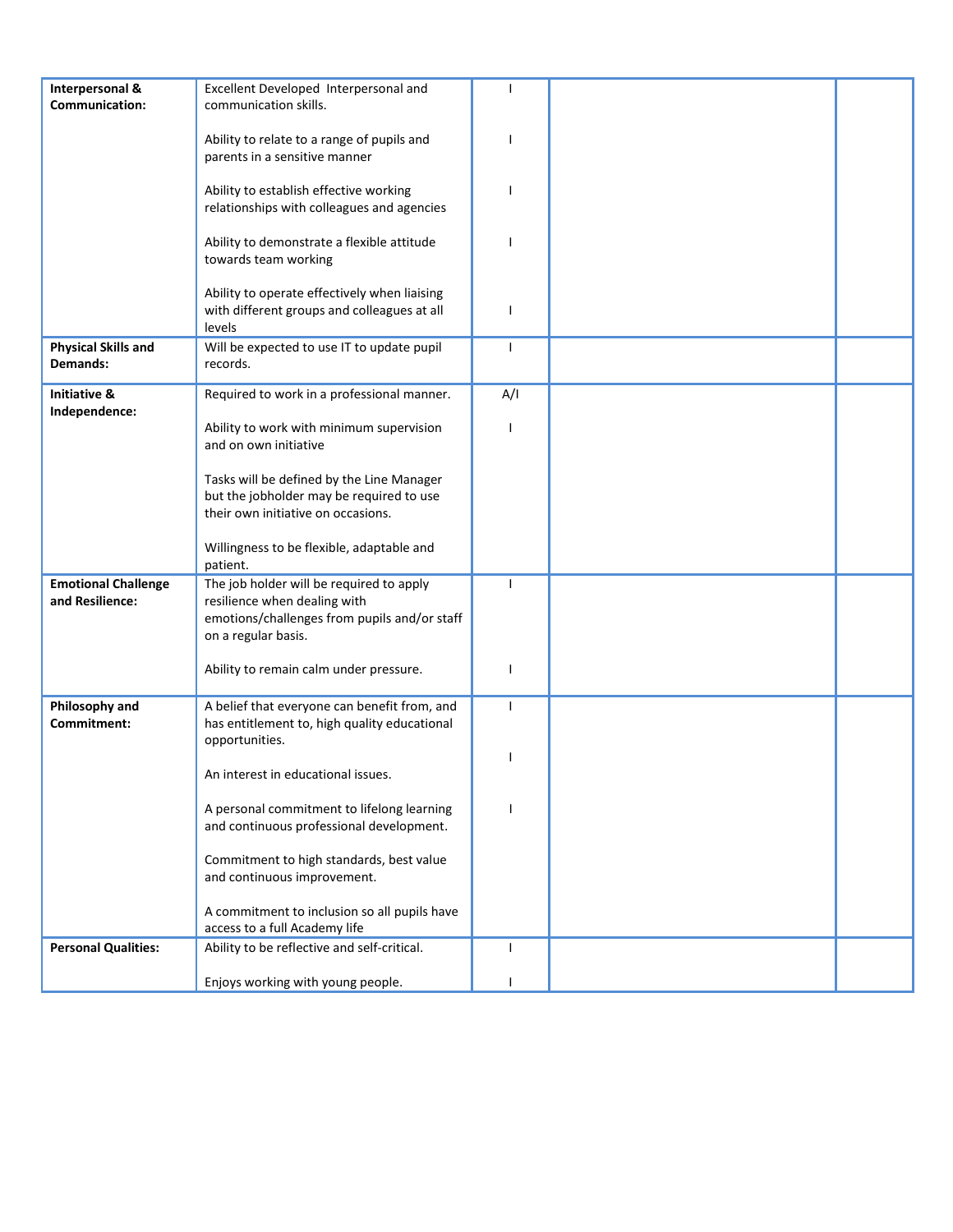| Interpersonal &            | Excellent Developed Interpersonal and        |              |  |
|----------------------------|----------------------------------------------|--------------|--|
| Communication:             | communication skills.                        |              |  |
|                            |                                              |              |  |
|                            |                                              |              |  |
|                            | Ability to relate to a range of pupils and   |              |  |
|                            | parents in a sensitive manner                |              |  |
|                            |                                              |              |  |
|                            | Ability to establish effective working       |              |  |
|                            | relationships with colleagues and agencies   |              |  |
|                            |                                              |              |  |
|                            | Ability to demonstrate a flexible attitude   |              |  |
|                            | towards team working                         |              |  |
|                            |                                              |              |  |
|                            | Ability to operate effectively when liaising |              |  |
|                            | with different groups and colleagues at all  |              |  |
|                            | levels                                       |              |  |
| <b>Physical Skills and</b> | Will be expected to use IT to update pupil   | $\mathbf{I}$ |  |
| Demands:                   | records.                                     |              |  |
|                            |                                              |              |  |
| <b>Initiative &amp;</b>    | Required to work in a professional manner.   | A/I          |  |
| Independence:              |                                              |              |  |
|                            | Ability to work with minimum supervision     |              |  |
|                            | and on own initiative                        |              |  |
|                            |                                              |              |  |
|                            | Tasks will be defined by the Line Manager    |              |  |
|                            | but the jobholder may be required to use     |              |  |
|                            | their own initiative on occasions.           |              |  |
|                            |                                              |              |  |
|                            | Willingness to be flexible, adaptable and    |              |  |
|                            | patient.                                     |              |  |
| <b>Emotional Challenge</b> | The job holder will be required to apply     | $\mathbf{I}$ |  |
| and Resilience:            | resilience when dealing with                 |              |  |
|                            | emotions/challenges from pupils and/or staff |              |  |
|                            | on a regular basis.                          |              |  |
|                            |                                              |              |  |
|                            | Ability to remain calm under pressure.       |              |  |
|                            |                                              |              |  |
| Philosophy and             | A belief that everyone can benefit from, and | $\mathbf{I}$ |  |
| Commitment:                | has entitlement to, high quality educational |              |  |
|                            | opportunities.                               |              |  |
|                            |                                              |              |  |
|                            | An interest in educational issues.           |              |  |
|                            |                                              |              |  |
|                            | A personal commitment to lifelong learning   |              |  |
|                            | and continuous professional development.     |              |  |
|                            |                                              |              |  |
|                            | Commitment to high standards, best value     |              |  |
|                            | and continuous improvement.                  |              |  |
|                            |                                              |              |  |
|                            | A commitment to inclusion so all pupils have |              |  |
|                            | access to a full Academy life                |              |  |
| <b>Personal Qualities:</b> | Ability to be reflective and self-critical.  | $\mathbf{I}$ |  |
|                            |                                              |              |  |
|                            | Enjoys working with young people.            |              |  |
|                            |                                              |              |  |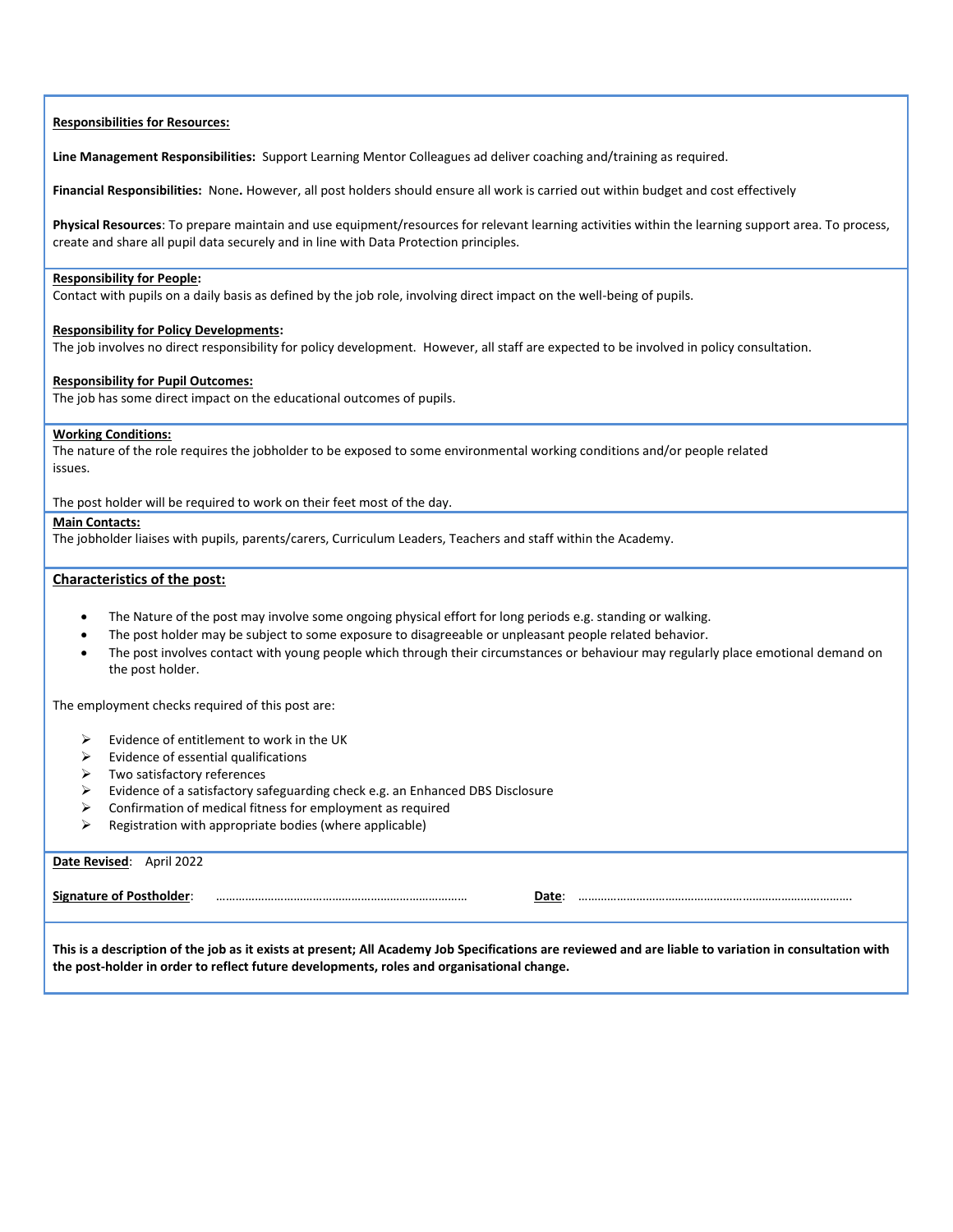#### **Responsibilities for Resources:**

**Line Management Responsibilities:** Support Learning Mentor Colleagues ad deliver coaching and/training as required.

**Financial Responsibilities:** None**.** However, all post holders should ensure all work is carried out within budget and cost effectively

**Physical Resources**: To prepare maintain and use equipment/resources for relevant learning activities within the learning support area. To process, create and share all pupil data securely and in line with Data Protection principles.

#### **Responsibility for People:**

Contact with pupils on a daily basis as defined by the job role, involving direct impact on the well-being of pupils.

#### **Responsibility for Policy Developments:**

The job involves no direct responsibility for policy development. However, all staff are expected to be involved in policy consultation.

#### **Responsibility for Pupil Outcomes:**

The job has some direct impact on the educational outcomes of pupils.

#### **Working Conditions:**

The nature of the role requires the jobholder to be exposed to some environmental working conditions and/or people related issues.

#### The post holder will be required to work on their feet most of the day.

#### **Main Contacts:**

The jobholder liaises with pupils, parents/carers, Curriculum Leaders, Teachers and staff within the Academy.

#### **Characteristics of the post:**

- The Nature of the post may involve some ongoing physical effort for long periods e.g. standing or walking.
- The post holder may be subject to some exposure to disagreeable or unpleasant people related behavior.
- The post involves contact with young people which through their circumstances or behaviour may regularly place emotional demand on the post holder.

The employment checks required of this post are:

- $\triangleright$  Evidence of entitlement to work in the UK
- $\triangleright$  Evidence of essential qualifications
- ➢ Two satisfactory references
- ➢ Evidence of a satisfactory safeguarding check e.g. an Enhanced DBS Disclosure
- $\triangleright$  Confirmation of medical fitness for employment as required
- $\triangleright$  Registration with appropriate bodies (where applicable)

| <b>Date Revised:</b><br>April 2022 |              |  |
|------------------------------------|--------------|--|
| <b>Signature of Postholder:</b>    | <u>Date:</u> |  |
|                                    |              |  |

**This is a description of the job as it exists at present; All Academy Job Specifications are reviewed and are liable to variation in consultation with the post-holder in order to reflect future developments, roles and organisational change.**